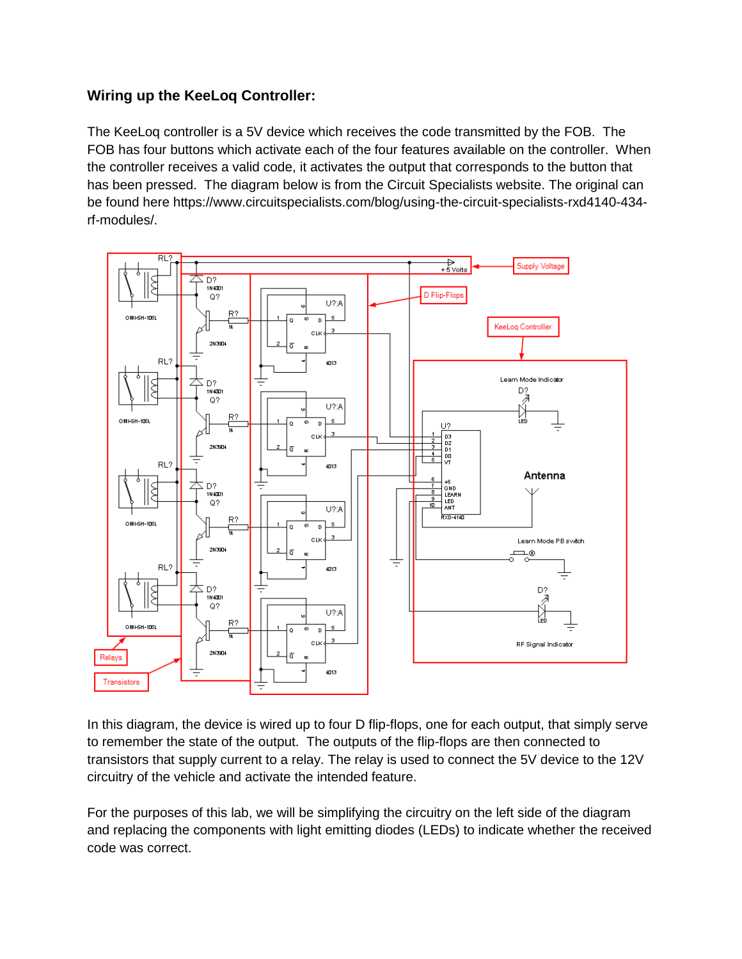## **Wiring up the KeeLoq Controller:**

The KeeLoq controller is a 5V device which receives the code transmitted by the FOB. The FOB has four buttons which activate each of the four features available on the controller. When the controller receives a valid code, it activates the output that corresponds to the button that has been pressed. The diagram below is from the Circuit Specialists website. The original can be found here https://www.circuitspecialists.com/blog/using-the-circuit-specialists-rxd4140-434 rf-modules/.



In this diagram, the device is wired up to four D flip-flops, one for each output, that simply serve to remember the state of the output. The outputs of the flip-flops are then connected to transistors that supply current to a relay. The relay is used to connect the 5V device to the 12V circuitry of the vehicle and activate the intended feature.

For the purposes of this lab, we will be simplifying the circuitry on the left side of the diagram and replacing the components with light emitting diodes (LEDs) to indicate whether the received code was correct.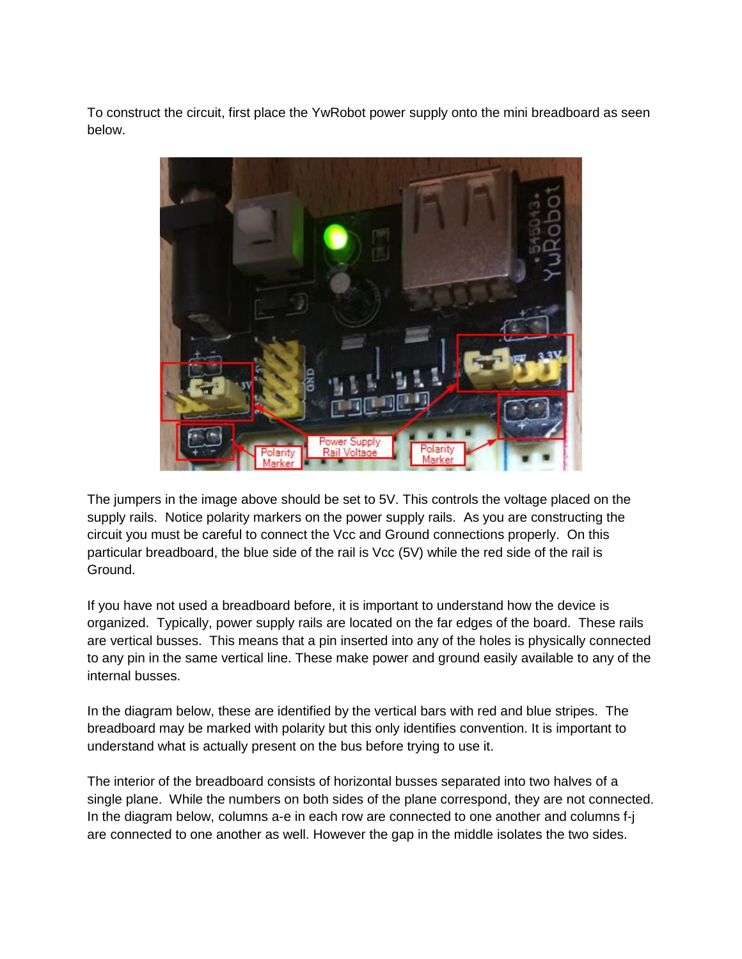To construct the circuit, first place the YwRobot power supply onto the mini breadboard as seen below.



The jumpers in the image above should be set to 5V. This controls the voltage placed on the supply rails. Notice polarity markers on the power supply rails. As you are constructing the circuit you must be careful to connect the Vcc and Ground connections properly. On this particular breadboard, the blue side of the rail is Vcc (5V) while the red side of the rail is Ground.

If you have not used a breadboard before, it is important to understand how the device is organized. Typically, power supply rails are located on the far edges of the board. These rails are vertical busses. This means that a pin inserted into any of the holes is physically connected to any pin in the same vertical line. These make power and ground easily available to any of the internal busses.

In the diagram below, these are identified by the vertical bars with red and blue stripes. The breadboard may be marked with polarity but this only identifies convention. It is important to understand what is actually present on the bus before trying to use it.

The interior of the breadboard consists of horizontal busses separated into two halves of a single plane. While the numbers on both sides of the plane correspond, they are not connected. In the diagram below, columns a-e in each row are connected to one another and columns f-j are connected to one another as well. However the gap in the middle isolates the two sides.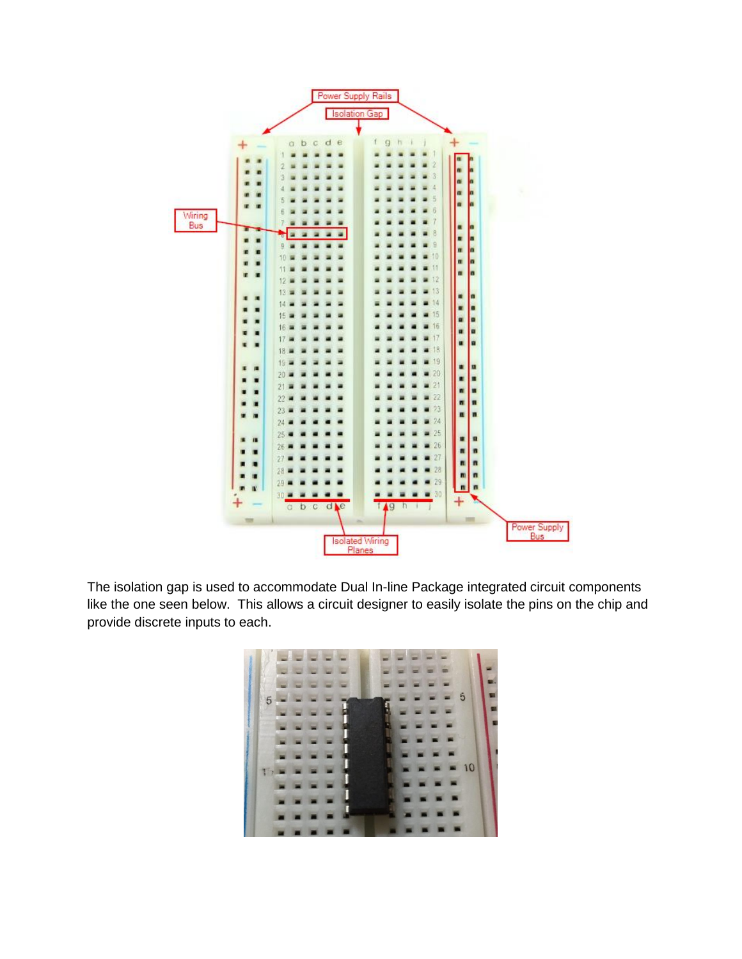

The isolation gap is used to accommodate Dual In-line Package integrated circuit components like the one seen below. This allows a circuit designer to easily isolate the pins on the chip and provide discrete inputs to each.

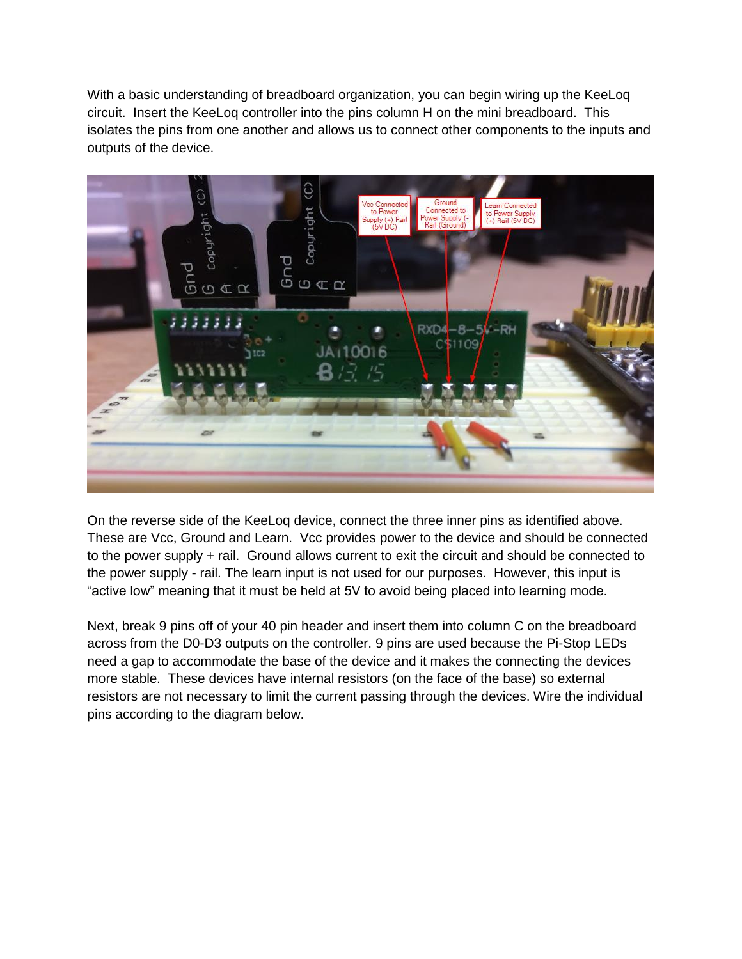With a basic understanding of breadboard organization, you can begin wiring up the KeeLoq circuit. Insert the KeeLoq controller into the pins column H on the mini breadboard. This isolates the pins from one another and allows us to connect other components to the inputs and outputs of the device.



On the reverse side of the KeeLoq device, connect the three inner pins as identified above. These are Vcc, Ground and Learn. Vcc provides power to the device and should be connected to the power supply + rail. Ground allows current to exit the circuit and should be connected to the power supply - rail. The learn input is not used for our purposes. However, this input is "active low" meaning that it must be held at 5V to avoid being placed into learning mode.

Next, break 9 pins off of your 40 pin header and insert them into column C on the breadboard across from the D0-D3 outputs on the controller. 9 pins are used because the Pi-Stop LEDs need a gap to accommodate the base of the device and it makes the connecting the devices more stable. These devices have internal resistors (on the face of the base) so external resistors are not necessary to limit the current passing through the devices. Wire the individual pins according to the diagram below.